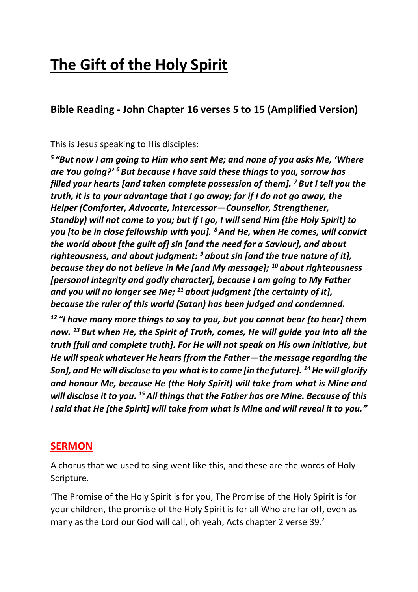## **The Gift of the Holy Spirit**

**Bible Reading - John Chapter 16 verses 5 to 15 (Amplified Version)**

This is Jesus speaking to His disciples:

*5 "But now I am going to Him who sent Me; and none of you asks Me, 'Where are You going?' <sup>6</sup> But because I have said these things to you, sorrow has filled your hearts [and taken complete possession of them]. <sup>7</sup> But I tell you the truth, it is to your advantage that I go away; for if I do not go away, the Helper (Comforter, Advocate, Intercessor—Counsellor, Strengthener, Standby) will not come to you; but if I go, I will send Him (the Holy Spirit) to you [to be in close fellowship with you]. <sup>8</sup>And He, when He comes, will convict the world about [the guilt of] sin [and the need for a Saviour], and about righteousness, and about judgment: <sup>9</sup> about sin [and the true nature of it], because they do not believe in Me [and My message]; <sup>10</sup> about righteousness [personal integrity and godly character], because I am going to My Father and you will no longer see Me; <sup>11</sup> about judgment [the certainty of it], because the ruler of this world (Satan) has been judged and condemned.*

*<sup>12</sup> "I have many more things to say to you, but you cannot bear [to hear] them now. <sup>13</sup> But when He, the Spirit of Truth, comes, He will guide you into all the truth [full and complete truth]. For He will not speak on His own initiative, but He will speak whatever He hears [from the Father—the message regarding the Son], and He will disclose to you what is to come [in the future]. <sup>14</sup>He will glorify and honour Me, because He (the Holy Spirit) will take from what is Mine and will disclose it to you. <sup>15</sup>All things that the Father has are Mine. Because of this I said that He [the Spirit] will take from what is Mine and will reveal it to you."*

## **SERMON**

A chorus that we used to sing went like this, and these are the words of Holy Scripture.

'The Promise of the Holy Spirit is for you, The Promise of the Holy Spirit is for your children, the promise of the Holy Spirit is for all Who are far off, even as many as the Lord our God will call, oh yeah, Acts chapter 2 verse 39.'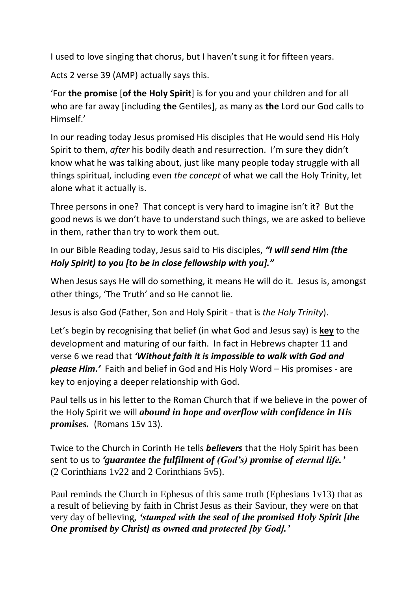I used to love singing that chorus, but I haven't sung it for fifteen years.

Acts 2 verse 39 (AMP) actually says this.

'For **the promise** [**of the Holy Spirit**] is for you and your children and for all who are far away [including **the** Gentiles], as many as **the** Lord our God calls to Himself.'

In our reading today Jesus promised His disciples that He would send His Holy Spirit to them, *after* his bodily death and resurrection. I'm sure they didn't know what he was talking about, just like many people today struggle with all things spiritual, including even *the concept* of what we call the Holy Trinity, let alone what it actually is.

Three persons in one? That concept is very hard to imagine isn't it? But the good news is we don't have to understand such things, we are asked to believe in them, rather than try to work them out.

In our Bible Reading today, Jesus said to His disciples, *"I will send Him (the Holy Spirit) to you [to be in close fellowship with you]."*

When Jesus says He will do something, it means He will do it. Jesus is, amongst other things, 'The Truth' and so He cannot lie.

Jesus is also God (Father, Son and Holy Spirit - that is *the Holy Trinity*).

Let's begin by recognising that belief (in what God and Jesus say) is **key** to the development and maturing of our faith. In fact in Hebrews chapter 11 and verse 6 we read that *'Without faith it is impossible to walk with God and please Him.'* Faith and belief in God and His Holy Word – His promises - are key to enjoying a deeper relationship with God.

Paul tells us in his letter to the Roman Church that if we believe in the power of the Holy Spirit we will *abound in hope and overflow with confidence in His promises.* (Romans 15v 13).

Twice to the Church in Corinth He tells *believers* that the Holy Spirit has been sent to us to *'guarantee the fulfilment of (God's) promise of eternal life.'* (2 Corinthians 1v22 and 2 Corinthians 5v5).

Paul reminds the Church in Ephesus of this same truth (Ephesians 1v13) that as a result of believing by faith in Christ Jesus as their Saviour, they were on that very day of believing, *'stamped with the seal of the promised Holy Spirit [the One promised by Christ] as owned and protected [by God].'*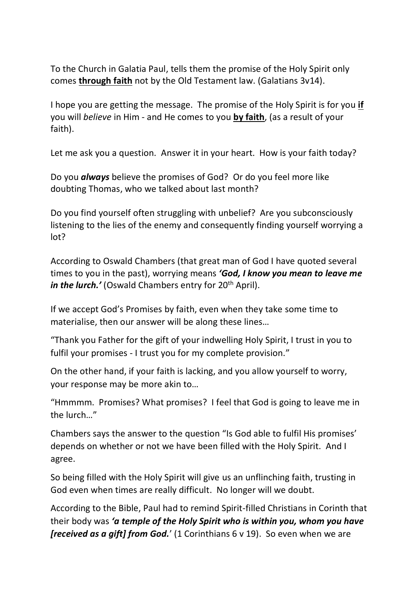To the Church in Galatia Paul, tells them the promise of the Holy Spirit only comes **through faith** not by the Old Testament law. (Galatians 3v14).

I hope you are getting the message. The promise of the Holy Spirit is for you **if** you will *believe* in Him - and He comes to you **by faith**, (as a result of your faith).

Let me ask you a question. Answer it in your heart. How is your faith today?

Do you *always* believe the promises of God? Or do you feel more like doubting Thomas, who we talked about last month?

Do you find yourself often struggling with unbelief? Are you subconsciously listening to the lies of the enemy and consequently finding yourself worrying a lot?

According to Oswald Chambers (that great man of God I have quoted several times to you in the past), worrying means *'God, I know you mean to leave me in the lurch.'* (Oswald Chambers entry for 20<sup>th</sup> April).

If we accept God's Promises by faith, even when they take some time to materialise, then our answer will be along these lines...

"Thank you Father for the gift of your indwelling Holy Spirit, I trust in you to fulfil your promises - I trust you for my complete provision."

On the other hand, if your faith is lacking, and you allow yourself to worry, your response may be more akin to…

"Hmmmm. Promises? What promises? I feel that God is going to leave me in the lurch…"

Chambers says the answer to the question "Is God able to fulfil His promises' depends on whether or not we have been filled with the Holy Spirit. And I agree.

So being filled with the Holy Spirit will give us an unflinching faith, trusting in God even when times are really difficult. No longer will we doubt.

According to the Bible, Paul had to remind Spirit-filled Christians in Corinth that their body was *'a temple of the Holy Spirit who is within you, whom you have [received as a gift] from God.*' (1 Corinthians 6 v 19). So even when we are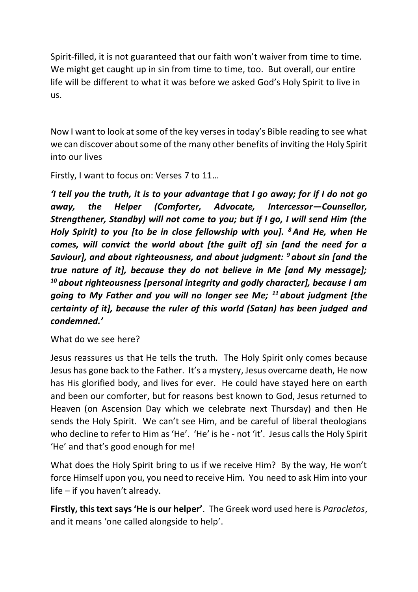Spirit-filled, it is not guaranteed that our faith won't waiver from time to time. We might get caught up in sin from time to time, too. But overall, our entire life will be different to what it was before we asked God's Holy Spirit to live in us.

Now I want to look at some of the key verses in today's Bible reading to see what we can discover about some of the many other benefits of inviting the Holy Spirit into our lives

Firstly, I want to focus on: Verses 7 to 11…

*'I tell you the truth, it is to your advantage that I go away; for if I do not go away, the Helper (Comforter, Advocate, Intercessor—Counsellor, Strengthener, Standby) will not come to you; but if I go, I will send Him (the Holy Spirit) to you [to be in close fellowship with you]. <sup>8</sup>And He, when He comes, will convict the world about [the guilt of] sin [and the need for a Saviour], and about righteousness, and about judgment: <sup>9</sup> about sin [and the true nature of it], because they do not believe in Me [and My message]; <sup>10</sup> about righteousness [personal integrity and godly character], because I am going to My Father and you will no longer see Me; <sup>11</sup> about judgment [the certainty of it], because the ruler of this world (Satan) has been judged and condemned.'*

What do we see here?

Jesus reassures us that He tells the truth. The Holy Spirit only comes because Jesus has gone back to the Father. It's a mystery, Jesus overcame death, He now has His glorified body, and lives for ever. He could have stayed here on earth and been our comforter, but for reasons best known to God, Jesus returned to Heaven (on Ascension Day which we celebrate next Thursday) and then He sends the Holy Spirit. We can't see Him, and be careful of liberal theologians who decline to refer to Him as 'He'. 'He' is he - not 'it'. Jesus calls the Holy Spirit 'He' and that's good enough for me!

What does the Holy Spirit bring to us if we receive Him? By the way, He won't force Himself upon you, you need to receive Him. You need to ask Him into your life – if you haven't already.

**Firstly, this text says 'He is our helper'**. The Greek word used here is *Paracletos*, and it means 'one called alongside to help'.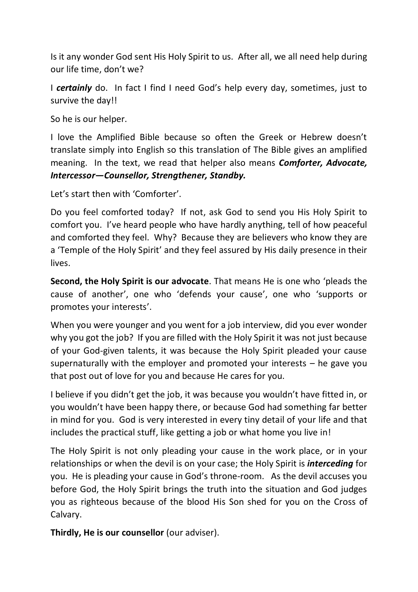Is it any wonder God sent His Holy Spirit to us. After all, we all need help during our life time, don't we?

I *certainly* do. In fact I find I need God's help every day, sometimes, just to survive the day!!

So he is our helper.

I love the Amplified Bible because so often the Greek or Hebrew doesn't translate simply into English so this translation of The Bible gives an amplified meaning. In the text, we read that helper also means *Comforter, Advocate, Intercessor—Counsellor, Strengthener, Standby.*

Let's start then with 'Comforter'.

Do you feel comforted today? If not, ask God to send you His Holy Spirit to comfort you. I've heard people who have hardly anything, tell of how peaceful and comforted they feel. Why? Because they are believers who know they are a 'Temple of the Holy Spirit' and they feel assured by His daily presence in their lives.

**Second, the Holy Spirit is our advocate**. That means He is one who 'pleads the cause of another', one who 'defends your cause', one who 'supports or promotes your interests'.

When you were younger and you went for a job interview, did you ever wonder why you got the job? If you are filled with the Holy Spirit it was not just because of your God-given talents, it was because the Holy Spirit pleaded your cause supernaturally with the employer and promoted your interests – he gave you that post out of love for you and because He cares for you.

I believe if you didn't get the job, it was because you wouldn't have fitted in, or you wouldn't have been happy there, or because God had something far better in mind for you. God is very interested in every tiny detail of your life and that includes the practical stuff, like getting a job or what home you live in!

The Holy Spirit is not only pleading your cause in the work place, or in your relationships or when the devil is on your case; the Holy Spirit is *interceding* for you. He is pleading your cause in God's throne-room. As the devil accuses you before God, the Holy Spirit brings the truth into the situation and God judges you as righteous because of the blood His Son shed for you on the Cross of Calvary.

**Thirdly, He is our counsellor** (our adviser).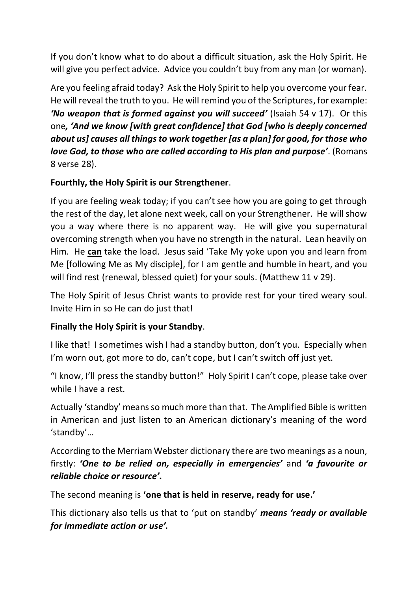If you don't know what to do about a difficult situation, ask the Holy Spirit. He will give you perfect advice. Advice you couldn't buy from any man (or woman).

Are you feeling afraid today? Ask the Holy Spirit to help you overcome your fear. He will reveal the truth to you. He will remind you of the Scriptures, for example: *'No weapon that is formed against you will succeed'* (Isaiah 54 v 17). Or this one*, 'And we know [with great confidence] that God [who is deeply concerned about us] causes all things to work together [as a plan] for good, for those who love God, to those who are called according to His plan and purpose'*. (Romans 8 verse 28).

## **Fourthly, the Holy Spirit is our Strengthener**.

If you are feeling weak today; if you can't see how you are going to get through the rest of the day, let alone next week, call on your Strengthener. He will show you a way where there is no apparent way. He will give you supernatural overcoming strength when you have no strength in the natural. Lean heavily on Him. He **can** take the load. Jesus said 'Take My yoke upon you and learn from Me [following Me as My disciple], for I am gentle and humble in heart, and you will find rest (renewal, blessed quiet) for your souls. (Matthew 11 v 29).

The Holy Spirit of Jesus Christ wants to provide rest for your tired weary soul. Invite Him in so He can do just that!

## **Finally the Holy Spirit is your Standby**.

I like that! I sometimes wish I had a standby button, don't you. Especially when I'm worn out, got more to do, can't cope, but I can't switch off just yet.

"I know, I'll press the standby button!" Holy Spirit I can't cope, please take over while I have a rest.

Actually 'standby' means so much more than that. The Amplified Bible is written in American and just listen to an American dictionary's meaning of the word 'standby'…

According to the Merriam Webster dictionary there are two meanings as a noun, firstly: *'One to be relied on, especially in emergencies'* and *'a favourite or reliable choice or resource'.*

The second meaning is **'one that is held in reserve, ready for use.'**

This dictionary also tells us that to 'put on standby' *means 'ready or available for immediate action or use'.*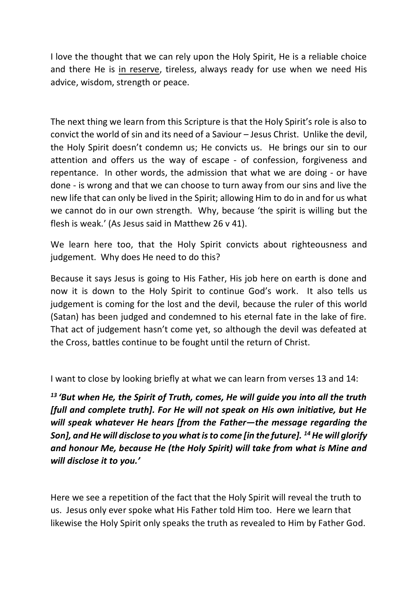I love the thought that we can rely upon the Holy Spirit, He is a reliable choice and there He is in reserve, tireless, always ready for use when we need His advice, wisdom, strength or peace.

The next thing we learn from this Scripture is that the Holy Spirit's role is also to convict the world of sin and its need of a Saviour – Jesus Christ. Unlike the devil, the Holy Spirit doesn't condemn us; He convicts us. He brings our sin to our attention and offers us the way of escape - of confession, forgiveness and repentance. In other words, the admission that what we are doing - or have done - is wrong and that we can choose to turn away from our sins and live the new life that can only be lived in the Spirit; allowing Him to do in and for us what we cannot do in our own strength. Why, because 'the spirit is willing but the flesh is weak.' (As Jesus said in Matthew 26 v 41).

We learn here too, that the Holy Spirit convicts about righteousness and judgement. Why does He need to do this?

Because it says Jesus is going to His Father, His job here on earth is done and now it is down to the Holy Spirit to continue God's work. It also tells us judgement is coming for the lost and the devil, because the ruler of this world (Satan) has been judged and condemned to his eternal fate in the lake of fire. That act of judgement hasn't come yet, so although the devil was defeated at the Cross, battles continue to be fought until the return of Christ.

I want to close by looking briefly at what we can learn from verses 13 and 14:

*<sup>13</sup> 'But when He, the Spirit of Truth, comes, He will guide you into all the truth [full and complete truth]. For He will not speak on His own initiative, but He will speak whatever He hears [from the Father—the message regarding the Son], and He will disclose to you what is to come [in the future]. <sup>14</sup>He will glorify and honour Me, because He (the Holy Spirit) will take from what is Mine and will disclose it to you.'*

Here we see a repetition of the fact that the Holy Spirit will reveal the truth to us. Jesus only ever spoke what His Father told Him too. Here we learn that likewise the Holy Spirit only speaks the truth as revealed to Him by Father God.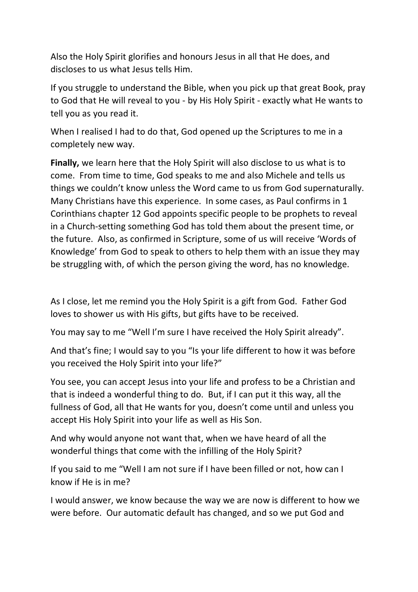Also the Holy Spirit glorifies and honours Jesus in all that He does, and discloses to us what Jesus tells Him.

If you struggle to understand the Bible, when you pick up that great Book, pray to God that He will reveal to you - by His Holy Spirit - exactly what He wants to tell you as you read it.

When I realised I had to do that, God opened up the Scriptures to me in a completely new way.

**Finally,** we learn here that the Holy Spirit will also disclose to us what is to come. From time to time, God speaks to me and also Michele and tells us things we couldn't know unless the Word came to us from God supernaturally. Many Christians have this experience. In some cases, as Paul confirms in 1 Corinthians chapter 12 God appoints specific people to be prophets to reveal in a Church-setting something God has told them about the present time, or the future. Also, as confirmed in Scripture, some of us will receive 'Words of Knowledge' from God to speak to others to help them with an issue they may be struggling with, of which the person giving the word, has no knowledge.

As I close, let me remind you the Holy Spirit is a gift from God. Father God loves to shower us with His gifts, but gifts have to be received.

You may say to me "Well I'm sure I have received the Holy Spirit already".

And that's fine; I would say to you "Is your life different to how it was before you received the Holy Spirit into your life?"

You see, you can accept Jesus into your life and profess to be a Christian and that is indeed a wonderful thing to do. But, if I can put it this way, all the fullness of God, all that He wants for you, doesn't come until and unless you accept His Holy Spirit into your life as well as His Son.

And why would anyone not want that, when we have heard of all the wonderful things that come with the infilling of the Holy Spirit?

If you said to me "Well I am not sure if I have been filled or not, how can I know if He is in me?

I would answer, we know because the way we are now is different to how we were before. Our automatic default has changed, and so we put God and